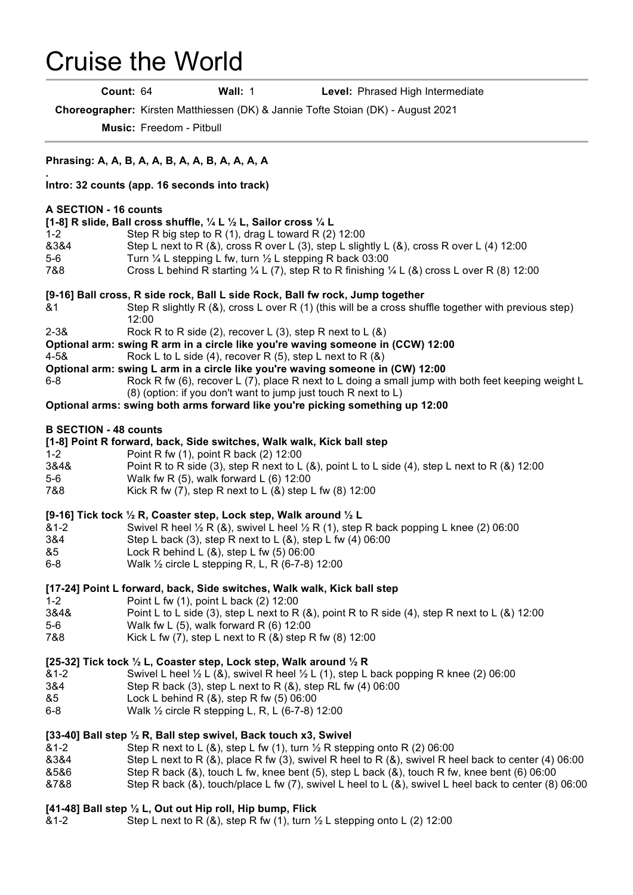## Cruise the World

.

**Count:** 64 **Wall:** 1 **Level:** Phrased High Intermediate

**Choreographer:** Kirsten Matthiessen (DK) & Jannie Tofte Stoian (DK) - August 2021

**Music:** Freedom - Pitbull

| Phrasing: A, A, B, A, A, B, A, A, B, A, A, A, A                                                                                                                                                                                                                                                                                                                                                                                                                                                                         |
|-------------------------------------------------------------------------------------------------------------------------------------------------------------------------------------------------------------------------------------------------------------------------------------------------------------------------------------------------------------------------------------------------------------------------------------------------------------------------------------------------------------------------|
| Intro: 32 counts (app. 16 seconds into track)                                                                                                                                                                                                                                                                                                                                                                                                                                                                           |
| A SECTION - 16 counts<br>[1-8] R slide, Ball cross shuffle, $\frac{1}{4}$ L $\frac{1}{2}$ L, Sailor cross $\frac{1}{4}$ L<br>$1 - 2$<br>Step R big step to R $(1)$ , drag L toward R $(2)$ 12:00<br>&3&4<br>Step L next to R $(8)$ , cross R over L $(3)$ , step L slightly L $(8)$ , cross R over L $(4)$ 12:00<br>$5-6$<br>Turn 1/4 L stepping L fw, turn 1/2 L stepping R back 03:00<br>7&8<br>Cross L behind R starting $\frac{1}{4}$ L (7), step R to R finishing $\frac{1}{4}$ L (&) cross L over R (8) 12:00     |
| [9-16] Ball cross, R side rock, Ball L side Rock, Ball fw rock, Jump together<br>Step R slightly R $(8)$ , cross L over R $(1)$ (this will be a cross shuffle together with previous step)<br>&1<br>12:00<br>$2 - 38$<br>Rock R to R side (2), recover L (3), step R next to L $(8)$<br>Optional arm: swing R arm in a circle like you're waving someone in (CCW) 12:00<br>$4 - 58$<br>Rock L to L side (4), recover R (5), step L next to R $(8)$                                                                      |
| Optional arm: swing L arm in a circle like you're waving someone in (CW) 12:00<br>Rock R fw (6), recover L (7), place R next to L doing a small jump with both feet keeping weight L<br>$6-8$<br>(8) (option: if you don't want to jump just touch R next to L)<br>Optional arms: swing both arms forward like you're picking something up 12:00                                                                                                                                                                        |
| <b>B SECTION - 48 counts</b><br>[1-8] Point R forward, back, Side switches, Walk walk, Kick ball step<br>$1 - 2$<br>Point R fw (1), point R back (2) 12:00<br>3&4&<br>Point R to R side (3), step R next to L (&), point L to L side (4), step L next to R (&) 12:00<br>Walk fw R $(5)$ , walk forward L $(6)$ 12:00<br>$5-6$<br>Kick R fw $(7)$ , step R next to L $(8)$ step L fw $(8)$ 12:00<br>7&8                                                                                                                  |
| [9-16] Tick tock $\frac{1}{2}$ R, Coaster step, Lock step, Walk around $\frac{1}{2}$ L<br>Swivel R heel $\frac{1}{2}$ R (&), swivel L heel $\frac{1}{2}$ R (1), step R back popping L knee (2) 06:00<br>$&1-2$<br>3&4<br>Step L back (3), step R next to L $(8)$ , step L fw $(4)$ 06:00<br>&5<br>Lock R behind L $(8)$ , step L fw $(5)$ 06:00<br>$6-8$<br>Walk 1/2 circle L stepping R, L, R (6-7-8) 12:00                                                                                                            |
| [17-24] Point L forward, back, Side switches, Walk walk, Kick ball step<br>Point L fw (1), point L back (2) 12:00<br>$1 - 2$<br>Point L to L side (3), step L next to R (&), point R to R side (4), step R next to L (&) 12:00<br>3&4&<br>Walk fw L $(5)$ , walk forward R $(6)$ 12:00<br>5-6<br>Kick L fw (7), step L next to R (&) step R fw (8) 12:00<br>7&8                                                                                                                                                         |
| [25-32] Tick tock 1/2 L, Coaster step, Lock step, Walk around 1/2 R<br>Swivel L heel $\frac{1}{2}$ L (&), swivel R heel $\frac{1}{2}$ L (1), step L back popping R knee (2) 06:00<br>&1-2<br>3&4<br>Step R back (3), step L next to R (&), step RL fw (4) 06:00<br>Lock L behind R $(8)$ , step R fw $(5)$ 06:00<br>&5<br>$6-8$<br>Walk 1/2 circle R stepping L, R, L (6-7-8) 12:00                                                                                                                                     |
| [33-40] Ball step 1/2 R, Ball step swivel, Back touch x3, Swivel<br>Step R next to L (&), step L fw (1), turn $\frac{1}{2}$ R stepping onto R (2) 06:00<br>$81 - 2$<br>8384<br>Step L next to R $(8)$ , place R fw $(3)$ , swivel R heel to R $(8)$ , swivel R heel back to center $(4)$ 06:00<br>Step R back (&), touch L fw, knee bent (5), step L back (&), touch R fw, knee bent (6) 06:00<br>&5&6<br>Step R back (&), touch/place L fw (7), swivel L heel to L (&), swivel L heel back to center (8) 06:00<br>&7&8 |
| [41-48] Ball step 1/2 L, Out out Hip roll, Hip bump, Flick                                                                                                                                                                                                                                                                                                                                                                                                                                                              |

&1-2 Step L next to R  $(8)$ , step R fw  $(1)$ , turn  $\frac{1}{2}$  L stepping onto L  $(2)$  12:00